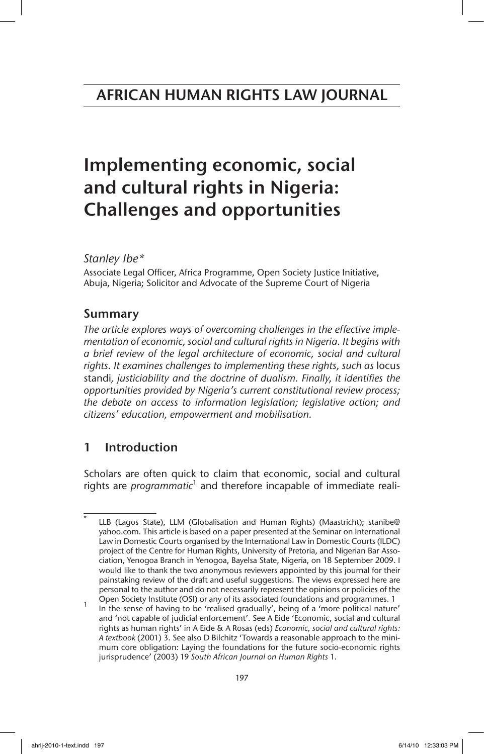# Implementing economic, social and cultural rights in Nigeria: Challenges and opportunities

## *Stanley Ibe\**

Associate Legal Officer, Africa Programme, Open Society Justice Initiative, Abuja, Nigeria; Solicitor and Advocate of the Supreme Court of Nigeria

# Summary

*The article explores ways of overcoming challenges in the effective implementation of economic, social and cultural rights in Nigeria. It begins with a brief review of the legal architecture of economic, social and cultural rights. It examines challenges to implementing these rights, such as* locus standi*, justiciability and the doctrine of dualism. Finally, it identifies the opportunities provided by Nigeria's current constitutional review process; the debate on access to information legislation; legislative action; and citizens' education, empowerment and mobilisation.*

# 1 Introduction

Scholars are often quick to claim that economic, social and cultural rights are *programmatic*<sup>1</sup> and therefore incapable of immediate reali-

LLB (Lagos State), LLM (Globalisation and Human Rights) (Maastricht); stanibe@ yahoo.com. This article is based on a paper presented at the Seminar on International Law in Domestic Courts organised by the International Law in Domestic Courts (ILDC) project of the Centre for Human Rights, University of Pretoria, and Nigerian Bar Association, Yenogoa Branch in Yenogoa, Bayelsa State, Nigeria, on 18 September 2009. I would like to thank the two anonymous reviewers appointed by this journal for their painstaking review of the draft and useful suggestions. The views expressed here are personal to the author and do not necessarily represent the opinions or policies of the

Open Society Institute (OSI) or any of its associated foundations and programmes. 1 In the sense of having to be 'realised gradually', being of a 'more political nature' and 'not capable of judicial enforcement'. See A Eide 'Economic, social and cultural rights as human rights' in A Eide & A Rosas (eds) *Economic, social and cultural rights: A textbook* (2001) 3. See also D Bilchitz 'Towards a reasonable approach to the minimum core obligation: Laying the foundations for the future socio-economic rights jurisprudence' (2003) 19 *South African Journal on Human Rights* 1.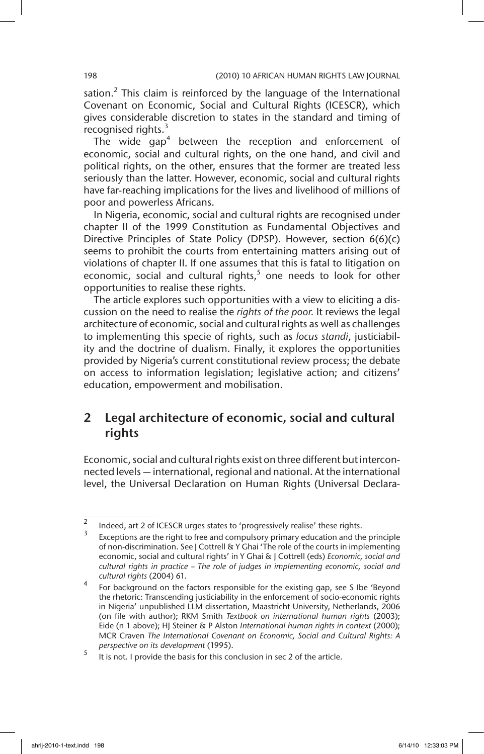sation.<sup>2</sup> This claim is reinforced by the language of the International Covenant on Economic, Social and Cultural Rights (ICESCR), which gives considerable discretion to states in the standard and timing of recognised rights.<sup>3</sup>

The wide  $gap<sup>4</sup>$  between the reception and enforcement of economic, social and cultural rights, on the one hand, and civil and political rights, on the other, ensures that the former are treated less seriously than the latter. However, economic, social and cultural rights have far-reaching implications for the lives and livelihood of millions of poor and powerless Africans.

In Nigeria, economic, social and cultural rights are recognised under chapter II of the 1999 Constitution as Fundamental Objectives and Directive Principles of State Policy (DPSP). However, section 6(6)(c) seems to prohibit the courts from entertaining matters arising out of violations of chapter II. If one assumes that this is fatal to litigation on economic, social and cultural rights, $5$  one needs to look for other opportunities to realise these rights.

The article explores such opportunities with a view to eliciting a discussion on the need to realise the *rights of the poor.* It reviews the legal architecture of economic, social and cultural rights as well as challenges to implementing this specie of rights, such as *locus standi*, justiciability and the doctrine of dualism. Finally, it explores the opportunities provided by Nigeria's current constitutional review process; the debate on access to information legislation; legislative action; and citizens' education, empowerment and mobilisation.

# 2 Legal architecture of economic, social and cultural rights

Economic, social and cultural rights exist on three different but interconnected levels — international, regional and national. At the international level, the Universal Declaration on Human Rights (Universal Declara-

 $\frac{2}{3}$  Indeed, art 2 of ICESCR urges states to 'progressively realise' these rights.

Exceptions are the right to free and compulsory primary education and the principle of non-discrimination. See J Cottrell & Y Ghai 'The role of the courts in implementing economic, social and cultural rights' in Y Ghai & J Cottrell (eds) *Economic, social and cultural rights in practice – The role of judges in implementing economic, social and cultural rights* (2004) 61.

<sup>4</sup> For background on the factors responsible for the existing gap, see S Ibe 'Beyond the rhetoric: Transcending justiciability in the enforcement of socio-economic rights in Nigeria' unpublished LLM dissertation, Maastricht University, Netherlands, 2006 (on file with author); RKM Smith *Textbook on international human rights* (2003); Eide (n 1 above); HJ Steiner & P Alston *International human rights in context* (2000); MCR Craven *The International Covenant on Economic, Social and Cultural Rights: A perspective on its development* (1995).

 $\frac{5}{100}$  it is not. I provide the basis for this conclusion in sec 2 of the article.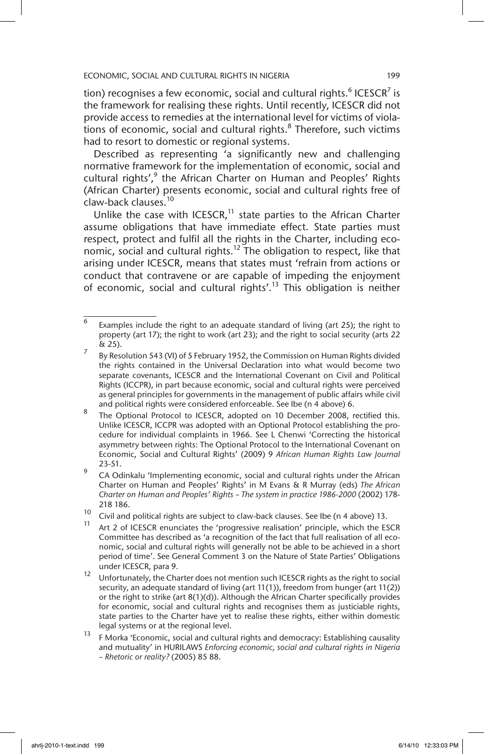tion) recognises a few economic, social and cultural rights.<sup>6</sup> ICESCR<sup>7</sup> is the framework for realising these rights. Until recently, ICESCR did not provide access to remedies at the international level for victims of violations of economic, social and cultural rights. $8$  Therefore, such victims had to resort to domestic or regional systems.

Described as representing 'a significantly new and challenging normative framework for the implementation of economic, social and cultural rights',<sup>9</sup> the African Charter on Human and Peoples' Rights (African Charter) presents economic, social and cultural rights free of claw-back clauses.10

Unlike the case with ICESCR, $<sup>11</sup>$  state parties to the African Charter</sup> assume obligations that have immediate effect. State parties must respect, protect and fulfil all the rights in the Charter, including economic, social and cultural rights.<sup>12</sup> The obligation to respect, like that arising under ICESCR, means that states must 'refrain from actions or conduct that contravene or are capable of impeding the enjoyment of economic, social and cultural rights'.13 This obligation is neither

 $\overline{6}$  Examples include the right to an adequate standard of living (art 25); the right to property (art 17); the right to work (art 23); and the right to social security (arts 22 & 25).

By Resolution 543 (VI) of 5 February 1952, the Commission on Human Rights divided the rights contained in the Universal Declaration into what would become two separate covenants, ICESCR and the International Covenant on Civil and Political Rights (ICCPR), in part because economic, social and cultural rights were perceived as general principles for governments in the management of public affairs while civil and political rights were considered enforceable. See Ibe (n 4 above) 6.

The Optional Protocol to ICESCR, adopted on 10 December 2008, rectified this. Unlike ICESCR, ICCPR was adopted with an Optional Protocol establishing the procedure for individual complaints in 1966. See L Chenwi 'Correcting the historical asymmetry between rights: The Optional Protocol to the International Covenant on Economic, Social and Cultural Rights' (2009) 9 *African Human Rights Law Journal* 23-51.

<sup>9</sup> CA Odinkalu 'Implementing economic, social and cultural rights under the African Charter on Human and Peoples' Rights' in M Evans & R Murray (eds) *The African Charter on Human and Peoples' Rights – The system in practice 1986-2000* (2002) 178- 218 186.

<sup>10</sup> Civil and political rights are subject to claw-back clauses. See Ibe (n 4 above) 13.

Art 2 of ICESCR enunciates the 'progressive realisation' principle, which the ESCR Committee has described as 'a recognition of the fact that full realisation of all economic, social and cultural rights will generally not be able to be achieved in a short period of time'. See General Comment 3 on the Nature of State Parties' Obligations under ICESCR, para 9.

<sup>12</sup> Unfortunately, the Charter does not mention such ICESCR rights as the right to social security, an adequate standard of living (art 11(1)), freedom from hunger (art 11(2)) or the right to strike (art 8(1)(d)). Although the African Charter specifically provides for economic, social and cultural rights and recognises them as justiciable rights, state parties to the Charter have yet to realise these rights, either within domestic legal systems or at the regional level.

<sup>&</sup>lt;sup>13</sup> F Morka 'Economic, social and cultural rights and democracy: Establishing causality and mutuality' in HURILAWS *Enforcing economic, social and cultural rights in Nigeria – Rhetoric or reality?* (2005) 85 88.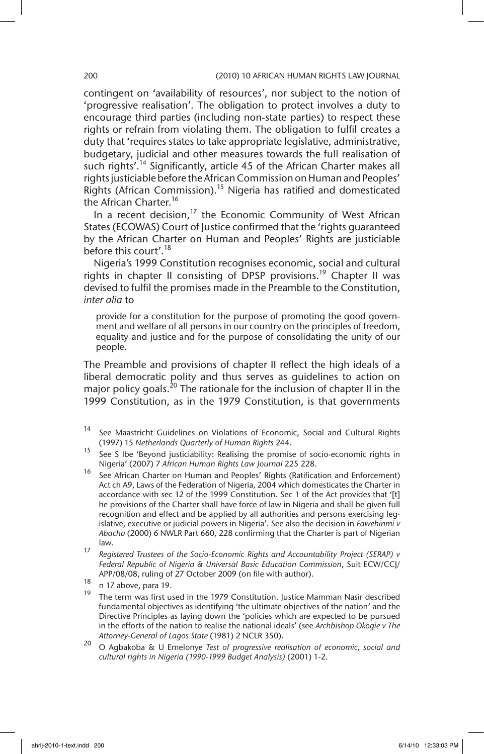contingent on 'availability of resources', nor subject to the notion of 'progressive realisation'. The obligation to protect involves a duty to encourage third parties (including non-state parties) to respect these rights or refrain from violating them. The obligation to fulfil creates a duty that 'requires states to take appropriate legislative, administrative, budgetary, judicial and other measures towards the full realisation of such rights'.<sup>14</sup> Significantly, article 45 of the African Charter makes all rights justiciable before the African Commission on Human and Peoples' Rights (African Commission).<sup>15</sup> Nigeria has ratified and domesticated the African Charter.<sup>16</sup>

In a recent decision,<sup>17</sup> the Economic Community of West African States (ECOWAS) Court of Justice confirmed that the 'rights guaranteed by the African Charter on Human and Peoples' Rights are justiciable before this court'.<sup>18</sup>

Nigeria's 1999 Constitution recognises economic, social and cultural rights in chapter II consisting of DPSP provisions.<sup>19</sup> Chapter II was devised to fulfil the promises made in the Preamble to the Constitution, *inter alia* to

provide for a constitution for the purpose of promoting the good government and welfare of all persons in our country on the principles of freedom, equality and justice and for the purpose of consolidating the unity of our people.

The Preamble and provisions of chapter II reflect the high ideals of a liberal democratic polity and thus serves as guidelines to action on major policy goals.<sup>20</sup> The rationale for the inclusion of chapter II in the 1999 Constitution, as in the 1979 Constitution, is that governments

 $\frac{14}{14}$  See Maastricht Guidelines on Violations of Economic, Social and Cultural Rights (1997) 15 *Netherlands Quarterly of Human Rights* 244.

<sup>&</sup>lt;sup>15</sup> See S Ibe 'Beyond justiciability: Realising the promise of socio-economic rights in Nigeria' (2007) 7 *African Human Rights Law Journal* 225 228.

<sup>16</sup> See African Charter on Human and Peoples' Rights (Ratification and Enforcement) Act ch A9, Laws of the Federation of Nigeria, 2004 which domesticates the Charter in accordance with sec 12 of the 1999 Constitution. Sec 1 of the Act provides that '[t] he provisions of the Charter shall have force of law in Nigeria and shall be given full recognition and effect and be applied by all authorities and persons exercising legislative, executive or judicial powers in Nigeria'. See also the decision in *Fawehinmi v Abacha* (2000) 6 NWLR Part 660, 228 confirming that the Charter is part of Nigerian law.

<sup>17</sup> *Registered Trustees of the Socio-Economic Rights and Accountability Project (SERAP) v Federal Republic of Nigeria & Universal Basic Education Commission*, Suit ECW/CCJ/ APP/08/08, ruling of 27 October 2009 (on file with author).

 $\frac{18}{19}$  n 17 above, para 19.

The term was first used in the 1979 Constitution. Justice Mamman Nasir described fundamental objectives as identifying 'the ultimate objectives of the nation' and the Directive Principles as laying down the 'policies which are expected to be pursued in the efforts of the nation to realise the national ideals' (see *Archbishop Okogie v The Attorney-General of Lagos State* (1981) 2 NCLR 350).

<sup>20</sup> O Agbakoba & U Emelonye *Test of progressive realisation of economic, social and cultural rights in Nigeria (1990-1999 Budget Analysis)* (2001) 1-2.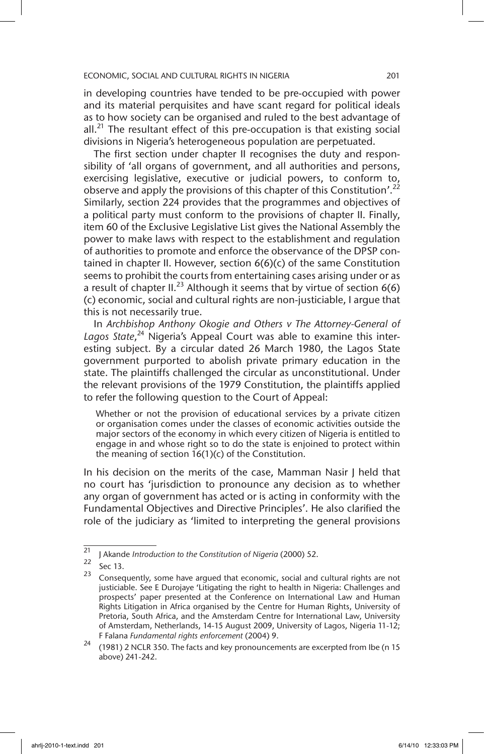in developing countries have tended to be pre-occupied with power and its material perquisites and have scant regard for political ideals as to how society can be organised and ruled to the best advantage of all.<sup>21</sup> The resultant effect of this pre-occupation is that existing social divisions in Nigeria's heterogeneous population are perpetuated.

The first section under chapter II recognises the duty and responsibility of 'all organs of government, and all authorities and persons, exercising legislative, executive or judicial powers, to conform to, observe and apply the provisions of this chapter of this Constitution'.<sup>22</sup> Similarly, section 224 provides that the programmes and objectives of a political party must conform to the provisions of chapter II. Finally, item 60 of the Exclusive Legislative List gives the National Assembly the power to make laws with respect to the establishment and regulation of authorities to promote and enforce the observance of the DPSP contained in chapter II. However, section 6(6)(c) of the same Constitution seems to prohibit the courts from entertaining cases arising under or as a result of chapter II.<sup>23</sup> Although it seems that by virtue of section  $6(6)$ (c) economic, social and cultural rights are non-justiciable, I argue that this is not necessarily true.

In *Archbishop Anthony Okogie and Others v The Attorney-General of*  Lagos State,<sup>24</sup> Nigeria's Appeal Court was able to examine this interesting subject. By a circular dated 26 March 1980, the Lagos State government purported to abolish private primary education in the state. The plaintiffs challenged the circular as unconstitutional. Under the relevant provisions of the 1979 Constitution, the plaintiffs applied to refer the following question to the Court of Appeal:

Whether or not the provision of educational services by a private citizen or organisation comes under the classes of economic activities outside the major sectors of the economy in which every citizen of Nigeria is entitled to engage in and whose right so to do the state is enjoined to protect within the meaning of section 16(1)(c) of the Constitution.

In his decision on the merits of the case, Mamman Nasir J held that no court has 'jurisdiction to pronounce any decision as to whether any organ of government has acted or is acting in conformity with the Fundamental Objectives and Directive Principles'. He also clarified the role of the judiciary as 'limited to interpreting the general provisions

<sup>&</sup>lt;sup>21</sup> J Akande *Introduction to the Constitution of Nigeria* (2000) 52.

 $\frac{22}{23}$  Sec 13.

Consequently, some have argued that economic, social and cultural rights are not justiciable. See E Durojaye 'Litigating the right to health in Nigeria: Challenges and prospects' paper presented at the Conference on International Law and Human Rights Litigation in Africa organised by the Centre for Human Rights, University of Pretoria, South Africa, and the Amsterdam Centre for International Law, University of Amsterdam, Netherlands, 14-15 August 2009, University of Lagos, Nigeria 11-12; F Falana *Fundamental rights enforcement* (2004) 9.

 $24$  (1981) 2 NCLR 350. The facts and key pronouncements are excerpted from Ibe (n 15 above) 241-242.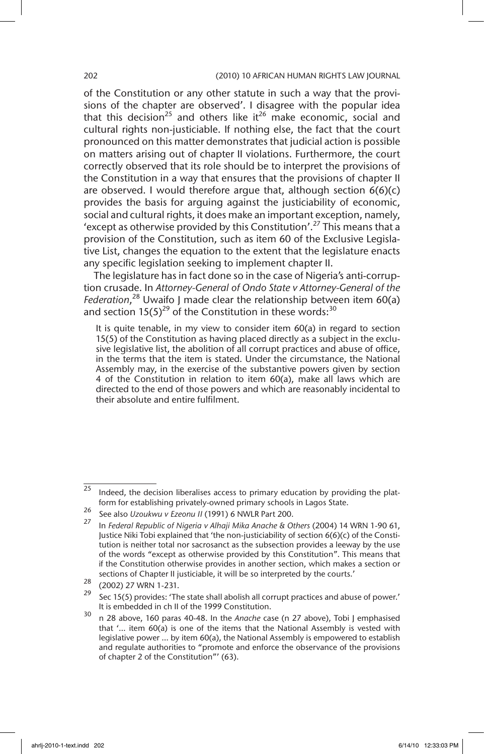of the Constitution or any other statute in such a way that the provisions of the chapter are observed'. I disagree with the popular idea that this decision<sup>25</sup> and others like it<sup>26</sup> make economic, social and cultural rights non-justiciable. If nothing else, the fact that the court pronounced on this matter demonstrates that judicial action is possible on matters arising out of chapter II violations. Furthermore, the court correctly observed that its role should be to interpret the provisions of the Constitution in a way that ensures that the provisions of chapter II are observed. I would therefore argue that, although section  $6(6)(c)$ provides the basis for arguing against the justiciability of economic, social and cultural rights, it does make an important exception, namely, 'except as otherwise provided by this Constitution'.27 This means that a provision of the Constitution, such as item 60 of the Exclusive Legislative List, changes the equation to the extent that the legislature enacts any specific legislation seeking to implement chapter II.

The legislature has in fact done so in the case of Nigeria's anti-corruption crusade. In *Attorney-General of Ondo State v Attorney-General of the Federation*, 28 Uwaifo J made clear the relationship between item 60(a) and section  $15(5)^{29}$  of the Constitution in these words:<sup>30</sup>

It is quite tenable, in my view to consider item 60(a) in regard to section 15(5) of the Constitution as having placed directly as a subject in the exclusive legislative list, the abolition of all corrupt practices and abuse of office, in the terms that the item is stated. Under the circumstance, the National Assembly may, in the exercise of the substantive powers given by section 4 of the Constitution in relation to item 60(a), make all laws which are directed to the end of those powers and which are reasonably incidental to their absolute and entire fulfilment.

 $25$  Indeed, the decision liberalises access to primary education by providing the platform for establishing privately-owned primary schools in Lagos State.

<sup>26</sup> See also *Uzoukwu v Ezeonu II* (1991) 6 NWLR Part 200.

<sup>27</sup> In *Federal Republic of Nigeria v Alhaji Mika Anache & Others* (2004) 14 WRN 1-90 61, Justice Niki Tobi explained that 'the non-justiciability of section 6(6)(c) of the Constitution is neither total nor sacrosanct as the subsection provides a leeway by the use of the words "except as otherwise provided by this Constitution". This means that if the Constitution otherwise provides in another section, which makes a section or sections of Chapter II justiciable, it will be so interpreted by the courts.'

 $\frac{28}{29}$  (2002) 27 WRN 1-231.

Sec 15(5) provides: 'The state shall abolish all corrupt practices and abuse of power.' It is embedded in ch II of the 1999 Constitution.

<sup>30</sup> n 28 above, 160 paras 40-48. In the *Anache* case (n 27 above), Tobi J emphasised that '… item 60(a) is one of the items that the National Assembly is vested with legislative power … by item 60(a), the National Assembly is empowered to establish and regulate authorities to "promote and enforce the observance of the provisions of chapter 2 of the Constitution"' (63).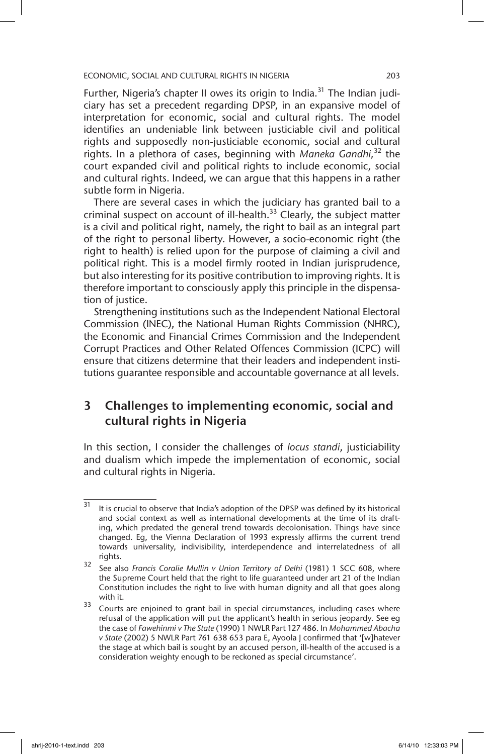Further, Nigeria's chapter II owes its origin to India.<sup>31</sup> The Indian judiciary has set a precedent regarding DPSP, in an expansive model of interpretation for economic, social and cultural rights. The model identifies an undeniable link between justiciable civil and political rights and supposedly non-justiciable economic, social and cultural rights. In a plethora of cases, beginning with *Maneka Gandhi,*32 the court expanded civil and political rights to include economic, social and cultural rights. Indeed, we can argue that this happens in a rather subtle form in Nigeria.

There are several cases in which the judiciary has granted bail to a criminal suspect on account of ill-health.<sup>33</sup> Clearly, the subject matter is a civil and political right, namely, the right to bail as an integral part of the right to personal liberty. However, a socio-economic right (the right to health) is relied upon for the purpose of claiming a civil and political right. This is a model firmly rooted in Indian jurisprudence, but also interesting for its positive contribution to improving rights. It is therefore important to consciously apply this principle in the dispensation of justice.

Strengthening institutions such as the Independent National Electoral Commission (INEC), the National Human Rights Commission (NHRC), the Economic and Financial Crimes Commission and the Independent Corrupt Practices and Other Related Offences Commission (ICPC) will ensure that citizens determine that their leaders and independent institutions guarantee responsible and accountable governance at all levels.

# 3 Challenges to implementing economic, social and cultural rights in Nigeria

In this section, I consider the challenges of *locus standi*, justiciability and dualism which impede the implementation of economic, social and cultural rights in Nigeria.

<sup>&</sup>lt;sup>31</sup> It is crucial to observe that India's adoption of the DPSP was defined by its historical and social context as well as international developments at the time of its drafting, which predated the general trend towards decolonisation. Things have since changed. Eg, the Vienna Declaration of 1993 expressly affirms the current trend towards universality, indivisibility, interdependence and interrelatedness of all rights.

<sup>32</sup> See also *Francis Coralie Mullin v Union Territory of Delhi* (1981) 1 SCC 608, where the Supreme Court held that the right to life guaranteed under art 21 of the Indian Constitution includes the right to live with human dignity and all that goes along with it.

<sup>&</sup>lt;sup>33</sup> Courts are enjoined to grant bail in special circumstances, including cases where refusal of the application will put the applicant's health in serious jeopardy. See eg the case of *Fawehinmi v The State* (1990) 1 NWLR Part 127 486. In *Mohammed Abacha v State* (2002) 5 NWLR Part 761 638 653 para E, Ayoola J confirmed that '[w]hatever the stage at which bail is sought by an accused person, ill-health of the accused is a consideration weighty enough to be reckoned as special circumstance'.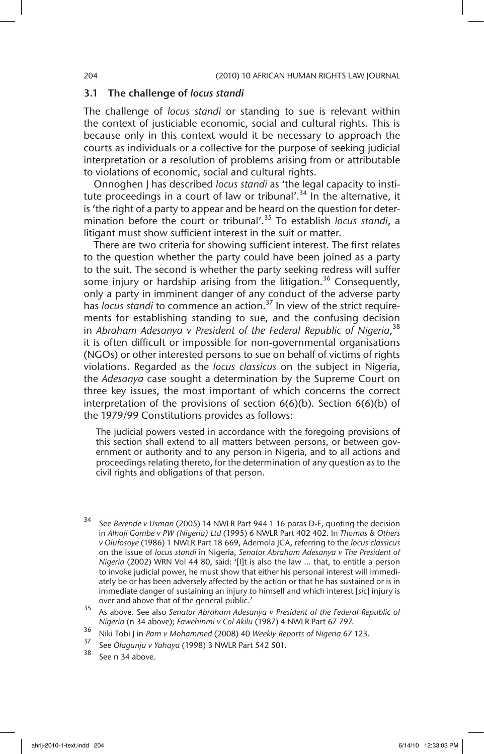### 3.1 The challenge of *locus standi*

The challenge of *locus standi* or standing to sue is relevant within the context of justiciable economic, social and cultural rights. This is because only in this context would it be necessary to approach the courts as individuals or a collective for the purpose of seeking judicial interpretation or a resolution of problems arising from or attributable to violations of economic, social and cultural rights.

Onnoghen J has described *locus standi* as 'the legal capacity to institute proceedings in a court of law or tribunal'.<sup>34</sup> In the alternative, it is 'the right of a party to appear and be heard on the question for determination before the court or tribunal'.35 To establish *locus standi*, a litigant must show sufficient interest in the suit or matter.

There are two criteria for showing sufficient interest. The first relates to the question whether the party could have been joined as a party to the suit. The second is whether the party seeking redress will suffer some injury or hardship arising from the litigation.<sup>36</sup> Consequently, only a party in imminent danger of any conduct of the adverse party has *locus standi* to commence an action.<sup>37</sup> In view of the strict requirements for establishing standing to sue, and the confusing decision in *Abraham Adesanya v President of the Federal Republic of Nigeria*, 38 it is often difficult or impossible for non-governmental organisations (NGOs) or other interested persons to sue on behalf of victims of rights violations. Regarded as the *locus classicus* on the subject in Nigeria, the *Adesanya* case sought a determination by the Supreme Court on three key issues, the most important of which concerns the correct interpretation of the provisions of section 6(6)(b). Section 6(6)(b) of the 1979/99 Constitutions provides as follows:

The judicial powers vested in accordance with the foregoing provisions of this section shall extend to all matters between persons, or between government or authority and to any person in Nigeria, and to all actions and proceedings relating thereto, for the determination of any question as to the civil rights and obligations of that person.

<sup>34</sup> See *Berende v Usman* (2005) 14 NWLR Part 944 1 16 paras D-E, quoting the decision in *Alhaji Gombe v PW (Nigeria) Ltd* (1995) 6 NWLR Part 402 402. In *Thomas & Others v Olufosoye* (1986) 1 NWLR Part 18 669, Ademola JCA, referring to the *locus classicus* on the issue of *locus standi* in Nigeria, *Senator Abraham Adesanya v The President of Nigeria* (2002) WRN Vol 44 80, said: '[I]t is also the law … that, to entitle a person to invoke judicial power, he must show that either his personal interest will immediately be or has been adversely affected by the action or that he has sustained or is in immediate danger of sustaining an injury to himself and which interest [*sic*] injury is over and above that of the general public.'

<sup>35</sup> As above. See also *Senator Abraham Adesanya v President of the Federal Republic of Nigeria* (n 34 above); *Fawehinmi v Col Akilu* (1987) 4 NWLR Part 67 797.

<sup>36</sup> Niki Tobi J in *Pam v Mohammed* (2008) 40 *Weekly Reports of Nigeria* 67 123.

<sup>37</sup> See *Olagunju v Yahaya* (1998) 3 NWLR Part 542 501.

See n 34 above.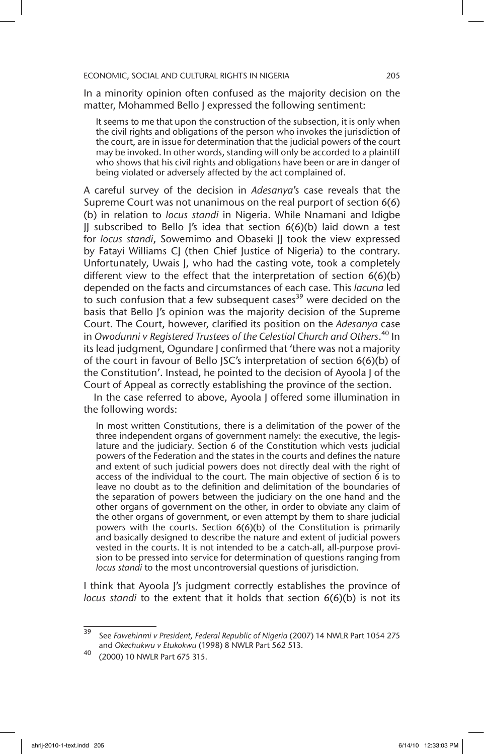In a minority opinion often confused as the majority decision on the matter, Mohammed Bello J expressed the following sentiment:

It seems to me that upon the construction of the subsection, it is only when the civil rights and obligations of the person who invokes the jurisdiction of the court, are in issue for determination that the judicial powers of the court may be invoked. In other words, standing will only be accorded to a plaintiff who shows that his civil rights and obligations have been or are in danger of being violated or adversely affected by the act complained of.

A careful survey of the decision in *Adesanya*'s case reveals that the Supreme Court was not unanimous on the real purport of section 6(6) (b) in relation to *locus standi* in Nigeria. While Nnamani and Idigbe JJ subscribed to Bello J's idea that section 6(6)(b) laid down a test for *locus standi*, Sowemimo and Obaseki II took the view expressed by Fatayi Williams CJ (then Chief Justice of Nigeria) to the contrary. Unfortunately, Uwais J, who had the casting vote, took a completely different view to the effect that the interpretation of section 6(6)(b) depended on the facts and circumstances of each case. This *lacuna* led to such confusion that a few subsequent cases<sup>39</sup> were decided on the basis that Bello J's opinion was the majority decision of the Supreme Court. The Court, however, clarified its position on the *Adesanya* case in *Owodunni v Registered Trustees of the Celestial Church and Others*. 40 In its lead judgment, Ogundare J confirmed that 'there was not a majority of the court in favour of Bello JSC's interpretation of section 6(6)(b) of the Constitution'. Instead, he pointed to the decision of Ayoola J of the Court of Appeal as correctly establishing the province of the section.

In the case referred to above, Ayoola J offered some illumination in the following words:

In most written Constitutions, there is a delimitation of the power of the three independent organs of government namely: the executive, the legislature and the judiciary. Section 6 of the Constitution which vests judicial powers of the Federation and the states in the courts and defines the nature and extent of such judicial powers does not directly deal with the right of access of the individual to the court. The main objective of section  $\vec{6}$  is to leave no doubt as to the definition and delimitation of the boundaries of the separation of powers between the judiciary on the one hand and the other organs of government on the other, in order to obviate any claim of the other organs of government, or even attempt by them to share judicial powers with the courts. Section 6(6)(b) of the Constitution is primarily and basically designed to describe the nature and extent of judicial powers vested in the courts. It is not intended to be a catch-all, all-purpose provision to be pressed into service for determination of questions ranging from *locus standi* to the most uncontroversial questions of jurisdiction.

I think that Ayoola J's judgment correctly establishes the province of *locus standi* to the extent that it holds that section 6(6)(b) is not its

<sup>39</sup> See *Fawehinmi v President, Federal Republic of Nigeria* (2007) 14 NWLR Part 1054 275 and *Okechukwu v Etukokwu* (1998) 8 NWLR Part 562 513.

<sup>40</sup> (2000) 10 NWLR Part 675 315.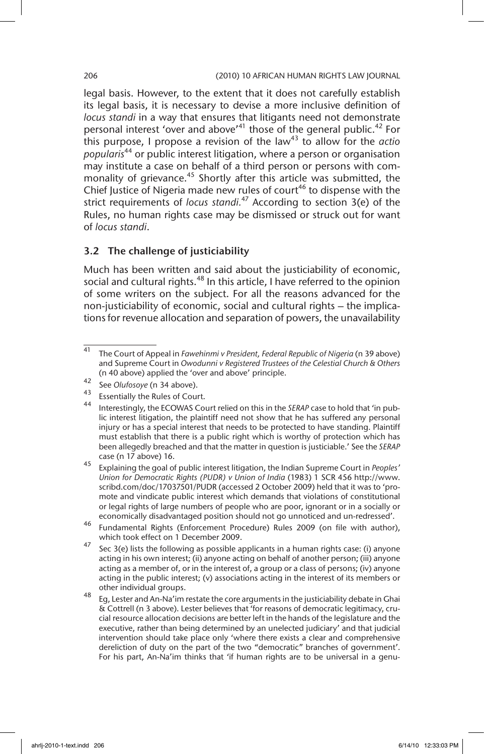legal basis. However, to the extent that it does not carefully establish its legal basis, it is necessary to devise a more inclusive definition of *locus standi* in a way that ensures that litigants need not demonstrate personal interest 'over and above'<sup>41</sup> those of the general public.<sup>42</sup> For this purpose, I propose a revision of the law<sup>43</sup> to allow for the *actio popularis*<sup>44</sup> or public interest litigation, where a person or organisation may institute a case on behalf of a third person or persons with commonality of grievance.<sup>45</sup> Shortly after this article was submitted, the Chief Justice of Nigeria made new rules of court<sup>46</sup> to dispense with the strict requirements of *locus standi.*47 According to section 3(e) of the Rules, no human rights case may be dismissed or struck out for want of *locus standi*.

### 3.2 The challenge of justiciability

Much has been written and said about the justiciability of economic, social and cultural rights.<sup>48</sup> In this article, I have referred to the opinion of some writers on the subject. For all the reasons advanced for the non-justiciability of economic, social and cultural rights – the implications for revenue allocation and separation of powers, the unavailability

<sup>41</sup> The Court of Appeal in *Fawehinmi v President, Federal Republic of Nigeria* (n 39 above) and Supreme Court in *Owodunni v Registered Trustees of the Celestial Church & Others* (n 40 above) applied the 'over and above' principle.

<sup>42</sup> See *Olufosoye* (n 34 above).

Essentially the Rules of Court.

<sup>44</sup> Interestingly, the ECOWAS Court relied on this in the *SERAP* case to hold that 'in public interest litigation, the plaintiff need not show that he has suffered any personal injury or has a special interest that needs to be protected to have standing. Plaintiff must establish that there is a public right which is worthy of protection which has been allegedly breached and that the matter in question is justiciable.' See the *SERAP* case (n 17 above) 16.

<sup>45</sup> Explaining the goal of public interest litigation, the Indian Supreme Court in *Peoples' Union for Democratic Rights (PUDR) v Union of India* (1983) 1 SCR 456 http://www. scribd.com/doc/17037501/PUDR (accessed 2 October 2009) held that it was to 'promote and vindicate public interest which demands that violations of constitutional or legal rights of large numbers of people who are poor, ignorant or in a socially or economically disadvantaged position should not go unnoticed and un-redressed'.

<sup>46</sup> Fundamental Rights (Enforcement Procedure) Rules 2009 (on file with author), which took effect on 1 December 2009.

<sup>&</sup>lt;sup>47</sup> Sec 3(e) lists the following as possible applicants in a human rights case: (i) anyone acting in his own interest; (ii) anyone acting on behalf of another person; (iii) anyone acting as a member of, or in the interest of, a group or a class of persons; (iv) anyone acting in the public interest; (v) associations acting in the interest of its members or other individual groups.

<sup>48</sup> Eg, Lester and An-Na'im restate the core arguments in the justiciability debate in Ghai & Cottrell (n 3 above). Lester believes that 'for reasons of democratic legitimacy, crucial resource allocation decisions are better left in the hands of the legislature and the executive, rather than being determined by an unelected judiciary' and that judicial intervention should take place only 'where there exists a clear and comprehensive dereliction of duty on the part of the two "democratic" branches of government'. For his part, An-Na'im thinks that 'if human rights are to be universal in a genu-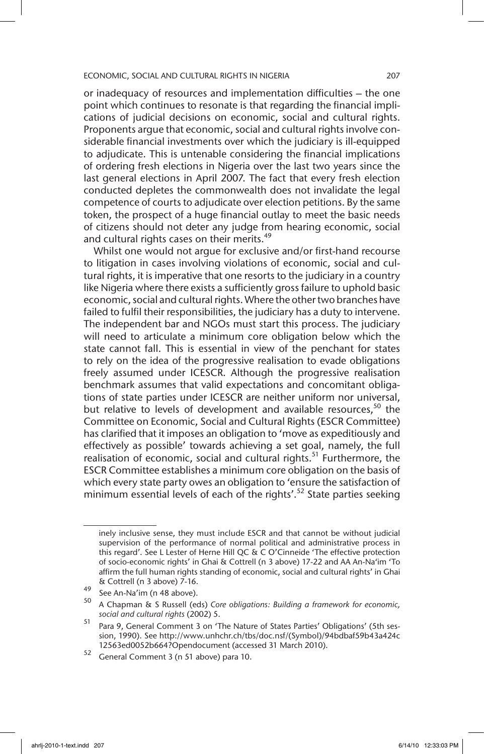or inadequacy of resources and implementation difficulties – the one point which continues to resonate is that regarding the financial implications of judicial decisions on economic, social and cultural rights. Proponents argue that economic, social and cultural rights involve considerable financial investments over which the judiciary is ill-equipped to adjudicate. This is untenable considering the financial implications of ordering fresh elections in Nigeria over the last two years since the last general elections in April 2007. The fact that every fresh election conducted depletes the commonwealth does not invalidate the legal competence of courts to adjudicate over election petitions. By the same token, the prospect of a huge financial outlay to meet the basic needs of citizens should not deter any judge from hearing economic, social and cultural rights cases on their merits.<sup>49</sup>

Whilst one would not argue for exclusive and/or first-hand recourse to litigation in cases involving violations of economic, social and cultural rights, it is imperative that one resorts to the judiciary in a country like Nigeria where there exists a sufficiently gross failure to uphold basic economic, social and cultural rights. Where the other two branches have failed to fulfil their responsibilities, the judiciary has a duty to intervene. The independent bar and NGOs must start this process. The judiciary will need to articulate a minimum core obligation below which the state cannot fall. This is essential in view of the penchant for states to rely on the idea of the progressive realisation to evade obligations freely assumed under ICESCR. Although the progressive realisation benchmark assumes that valid expectations and concomitant obligations of state parties under ICESCR are neither uniform nor universal, but relative to levels of development and available resources,  $50$  the Committee on Economic, Social and Cultural Rights (ESCR Committee) has clarified that it imposes an obligation to 'move as expeditiously and effectively as possible' towards achieving a set goal, namely, the full realisation of economic, social and cultural rights.<sup>51</sup> Furthermore, the ESCR Committee establishes a minimum core obligation on the basis of which every state party owes an obligation to 'ensure the satisfaction of minimum essential levels of each of the rights'.<sup>52</sup> State parties seeking

inely inclusive sense, they must include ESCR and that cannot be without judicial supervision of the performance of normal political and administrative process in this regard'. See L Lester of Herne Hill QC & C O'Cinneide 'The effective protection of socio-economic rights' in Ghai & Cottrell (n 3 above) 17-22 and AA An-Na'im 'To affirm the full human rights standing of economic, social and cultural rights' in Ghai & Cottrell (n 3 above) 7-16.

<sup>49</sup> See An-Na'im (n 48 above).

<sup>50</sup> A Chapman & S Russell (eds) *Core obligations: Building a framework for economic, social and cultural rights* (2002) 5.

<sup>51</sup> Para 9, General Comment 3 on 'The Nature of States Parties' Obligations' (5th session, 1990). See http://www.unhchr.ch/tbs/doc.nsf/(Symbol)/94bdbaf59b43a424c 12563ed0052b664?Opendocument (accessed 31 March 2010).

 $52$  General Comment 3 (n 51 above) para 10.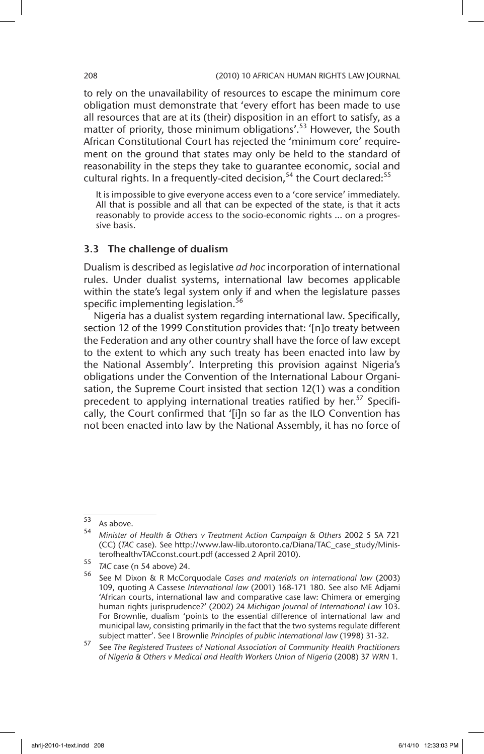to rely on the unavailability of resources to escape the minimum core obligation must demonstrate that 'every effort has been made to use all resources that are at its (their) disposition in an effort to satisfy, as a matter of priority, those minimum obligations'.<sup>53</sup> However, the South African Constitutional Court has rejected the 'minimum core' requirement on the ground that states may only be held to the standard of reasonability in the steps they take to guarantee economic, social and cultural rights. In a frequently-cited decision,<sup>54</sup> the Court declared:<sup>55</sup>

It is impossible to give everyone access even to a 'core service' immediately. All that is possible and all that can be expected of the state, is that it acts reasonably to provide access to the socio-economic rights … on a progressive basis.

### 3.3 The challenge of dualism

Dualism is described as legislative *ad hoc* incorporation of international rules. Under dualist systems, international law becomes applicable within the state's legal system only if and when the legislature passes specific implementing legislation.<sup>56</sup>

Nigeria has a dualist system regarding international law. Specifically, section 12 of the 1999 Constitution provides that: '[n]o treaty between the Federation and any other country shall have the force of law except to the extent to which any such treaty has been enacted into law by the National Assembly'. Interpreting this provision against Nigeria's obligations under the Convention of the International Labour Organisation, the Supreme Court insisted that section 12(1) was a condition precedent to applying international treaties ratified by her.<sup>57</sup> Specifically, the Court confirmed that '[i]n so far as the ILO Convention has not been enacted into law by the National Assembly, it has no force of

<sup>53</sup> As above.

<sup>54</sup> *Minister of Health & Others v Treatment Action Campaign & Others* 2002 5 SA 721 (CC) (*TAC* case). See http://www.law-lib.utoronto.ca/Diana/TAC\_case\_study/MinisterofhealthvTACconst.court.pdf (accessed 2 April 2010).

<sup>55</sup> *TAC* case (n 54 above) 24.

<sup>56</sup> See M Dixon & R McCorquodale *Cases and materials on international law* (2003) 109, quoting A Cassese *International law* (2001) 168-171 180. See also ME Adjami 'African courts, international law and comparative case law: Chimera or emerging human rights jurisprudence?' (2002) 24 *Michigan Journal of International Law* 103. For Brownlie, dualism 'points to the essential difference of international law and municipal law, consisting primarily in the fact that the two systems regulate different subject matter'. See I Brownlie *Principles of public international law* (1998) 31-32.

<sup>57</sup> See *The Registered Trustees of National Association of Community Health Practitioners of Nigeria & Others v Medical and Health Workers Union of Nigeria* (2008) 37 *WRN* 1.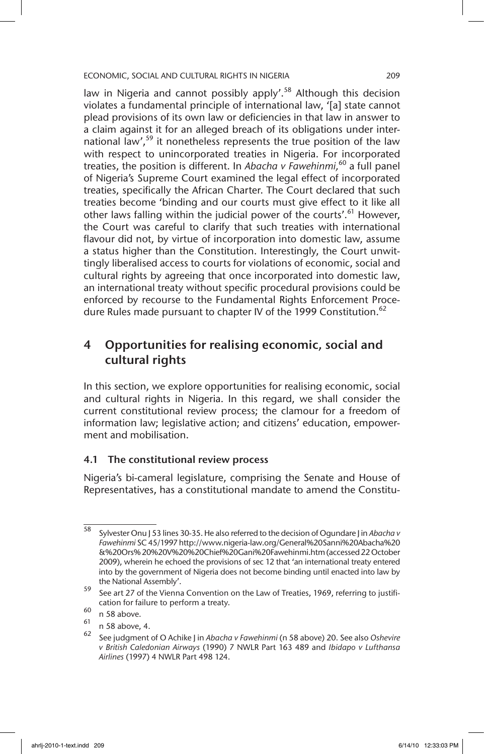law in Nigeria and cannot possibly apply'.<sup>58</sup> Although this decision violates a fundamental principle of international law, '[a] state cannot plead provisions of its own law or deficiencies in that law in answer to a claim against it for an alleged breach of its obligations under international law',<sup>59</sup> it nonetheless represents the true position of the law with respect to unincorporated treaties in Nigeria. For incorporated treaties, the position is different. In *Abacha v Fawehinmi,*60 a full panel of Nigeria's Supreme Court examined the legal effect of incorporated treaties, specifically the African Charter. The Court declared that such treaties become 'binding and our courts must give effect to it like all other laws falling within the judicial power of the courts'.<sup>61</sup> However, the Court was careful to clarify that such treaties with international flavour did not, by virtue of incorporation into domestic law, assume a status higher than the Constitution. Interestingly, the Court unwittingly liberalised access to courts for violations of economic, social and cultural rights by agreeing that once incorporated into domestic law, an international treaty without specific procedural provisions could be enforced by recourse to the Fundamental Rights Enforcement Procedure Rules made pursuant to chapter IV of the 1999 Constitution.<sup>62</sup>

# 4 Opportunities for realising economic, social and cultural rights

In this section, we explore opportunities for realising economic, social and cultural rights in Nigeria. In this regard, we shall consider the current constitutional review process; the clamour for a freedom of information law; legislative action; and citizens' education, empowerment and mobilisation.

### 4.1 The constitutional review process

Nigeria's bi-cameral legislature, comprising the Senate and House of Representatives, has a constitutional mandate to amend the Constitu-

<sup>58</sup> Sylvester Onu J 53 lines 30-35. He also referred to the decision of Ogundare J in *Abacha v Fawehinmi* SC 45/1997 http://www.nigeria-law.org/General%20Sanni%20Abacha%20 &%20Ors% 20%20V%20%20Chief%20Gani%20Fawehinmi.htm (accessed 22 October 2009), wherein he echoed the provisions of sec 12 that 'an international treaty entered into by the government of Nigeria does not become binding until enacted into law by the National Assembly'.

<sup>59</sup> See art 27 of the Vienna Convention on the Law of Treaties, 1969, referring to justification for failure to perform a treaty.

 $^{60}$  n 58 above.

 $^{61}$  n 58 above, 4.

<sup>62</sup> See judgment of O Achike J in *Abacha v Fawehinmi* (n 58 above) 20. See also *Oshevire v British Caledonian Airways* (1990) 7 NWLR Part 163 489 and *Ibidapo v Lufthansa Airlines* (1997) 4 NWLR Part 498 124.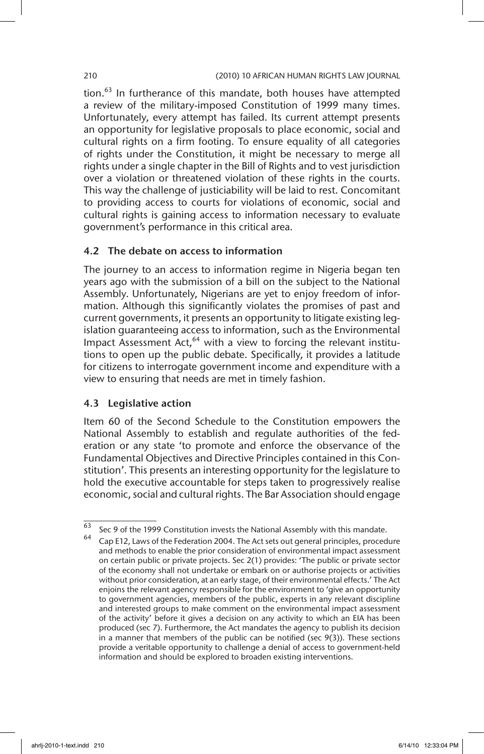tion. $63$  In furtherance of this mandate, both houses have attempted a review of the military-imposed Constitution of 1999 many times. Unfortunately, every attempt has failed. Its current attempt presents an opportunity for legislative proposals to place economic, social and cultural rights on a firm footing. To ensure equality of all categories of rights under the Constitution, it might be necessary to merge all rights under a single chapter in the Bill of Rights and to vest jurisdiction over a violation or threatened violation of these rights in the courts. This way the challenge of justiciability will be laid to rest. Concomitant to providing access to courts for violations of economic, social and cultural rights is gaining access to information necessary to evaluate government's performance in this critical area.

### 4.2 The debate on access to information

The journey to an access to information regime in Nigeria began ten years ago with the submission of a bill on the subject to the National Assembly. Unfortunately, Nigerians are yet to enjoy freedom of information. Although this significantly violates the promises of past and current governments, it presents an opportunity to litigate existing legislation guaranteeing access to information, such as the Environmental Impact Assessment Act, $64$  with a view to forcing the relevant institutions to open up the public debate. Specifically, it provides a latitude for citizens to interrogate government income and expenditure with a view to ensuring that needs are met in timely fashion.

### 4.3 Legislative action

Item 60 of the Second Schedule to the Constitution empowers the National Assembly to establish and regulate authorities of the federation or any state 'to promote and enforce the observance of the Fundamental Objectives and Directive Principles contained in this Constitution'. This presents an interesting opportunity for the legislature to hold the executive accountable for steps taken to progressively realise economic, social and cultural rights. The Bar Association should engage

 $\frac{63}{63}$  Sec 9 of the 1999 Constitution invests the National Assembly with this mandate.

Cap E12, Laws of the Federation 2004. The Act sets out general principles, procedure and methods to enable the prior consideration of environmental impact assessment on certain public or private projects. Sec 2(1) provides: 'The public or private sector of the economy shall not undertake or embark on or authorise projects or activities without prior consideration, at an early stage, of their environmental effects.' The Act enjoins the relevant agency responsible for the environment to 'give an opportunity to government agencies, members of the public, experts in any relevant discipline and interested groups to make comment on the environmental impact assessment of the activity' before it gives a decision on any activity to which an EIA has been produced (sec 7). Furthermore, the Act mandates the agency to publish its decision in a manner that members of the public can be notified (sec 9(3)). These sections provide a veritable opportunity to challenge a denial of access to government-held information and should be explored to broaden existing interventions.